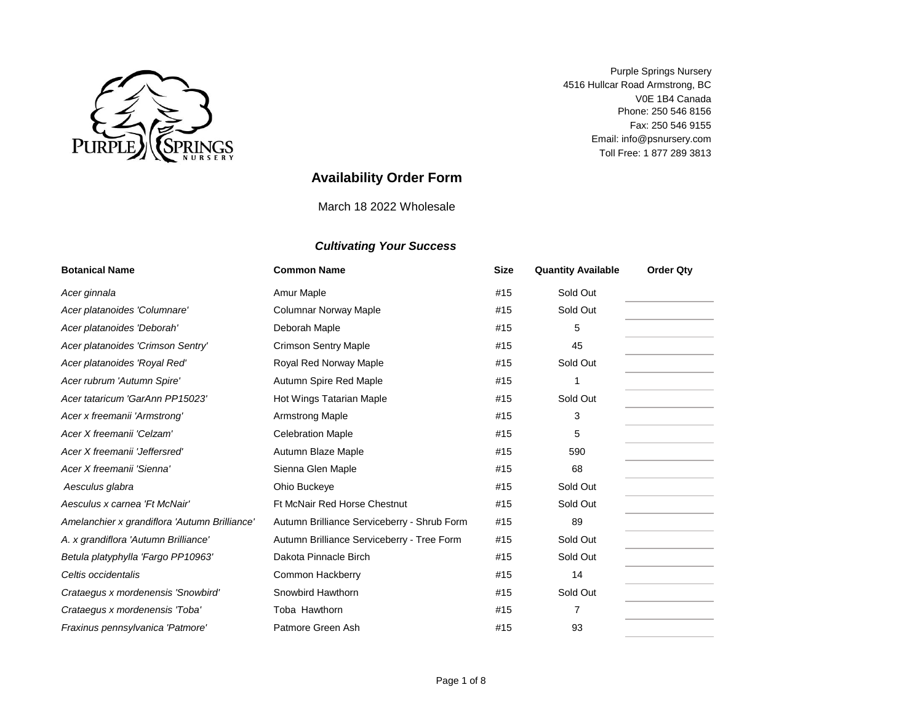

4516 Hullcar Road Armstrong, BC V0E 1B4 Canada Fax: 250 546 9155 Phone: 250 546 8156 Toll Free: 1 877 289 3813 Email: info@psnursery.com Purple Springs Nursery

# **Availability Order Form**

March 18 2022 Wholesale

| <b>Botanical Name</b>                         | <b>Common Name</b>                          | <b>Size</b> | <b>Quantity Available</b> | <b>Order Qty</b> |
|-----------------------------------------------|---------------------------------------------|-------------|---------------------------|------------------|
| Acer ginnala                                  | Amur Maple                                  | #15         | Sold Out                  |                  |
| Acer platanoides 'Columnare'                  | Columnar Norway Maple                       | #15         | Sold Out                  |                  |
| Acer platanoides 'Deborah'                    | Deborah Maple                               | #15         | 5                         |                  |
| Acer platanoides 'Crimson Sentry'             | <b>Crimson Sentry Maple</b>                 | #15         | 45                        |                  |
| Acer platanoides 'Royal Red'                  | Royal Red Norway Maple                      | #15         | Sold Out                  |                  |
| Acer rubrum 'Autumn Spire'                    | Autumn Spire Red Maple                      | #15         |                           |                  |
| Acer tataricum 'GarAnn PP15023'               | Hot Wings Tatarian Maple                    | #15         | Sold Out                  |                  |
| Acer x freemanii 'Armstrong'                  | <b>Armstrong Maple</b>                      | #15         | 3                         |                  |
| Acer X freemanii 'Celzam'                     | <b>Celebration Maple</b>                    | #15         | 5                         |                  |
| Acer X freemanii 'Jeffersred'                 | Autumn Blaze Maple                          | #15         | 590                       |                  |
| Acer X freemanii 'Sienna'                     | Sienna Glen Maple                           | #15         | 68                        |                  |
| Aesculus glabra                               | Ohio Buckeye                                | #15         | Sold Out                  |                  |
| Aesculus x carnea 'Ft McNair'                 | <b>Ft McNair Red Horse Chestnut</b>         | #15         | Sold Out                  |                  |
| Amelanchier x grandiflora 'Autumn Brilliance' | Autumn Brilliance Serviceberry - Shrub Form | #15         | 89                        |                  |
| A. x grandiflora 'Autumn Brilliance'          | Autumn Brilliance Serviceberry - Tree Form  | #15         | Sold Out                  |                  |
| Betula platyphylla 'Fargo PP10963'            | Dakota Pinnacle Birch                       | #15         | Sold Out                  |                  |
| Celtis occidentalis                           | Common Hackberry                            | #15         | 14                        |                  |
| Crataegus x mordenensis 'Snowbird'            | Snowbird Hawthorn                           | #15         | Sold Out                  |                  |
| Crataegus x mordenensis 'Toba'                | Toba Hawthorn                               | #15         | 7                         |                  |
| Fraxinus pennsylvanica 'Patmore'              | Patmore Green Ash                           | #15         | 93                        |                  |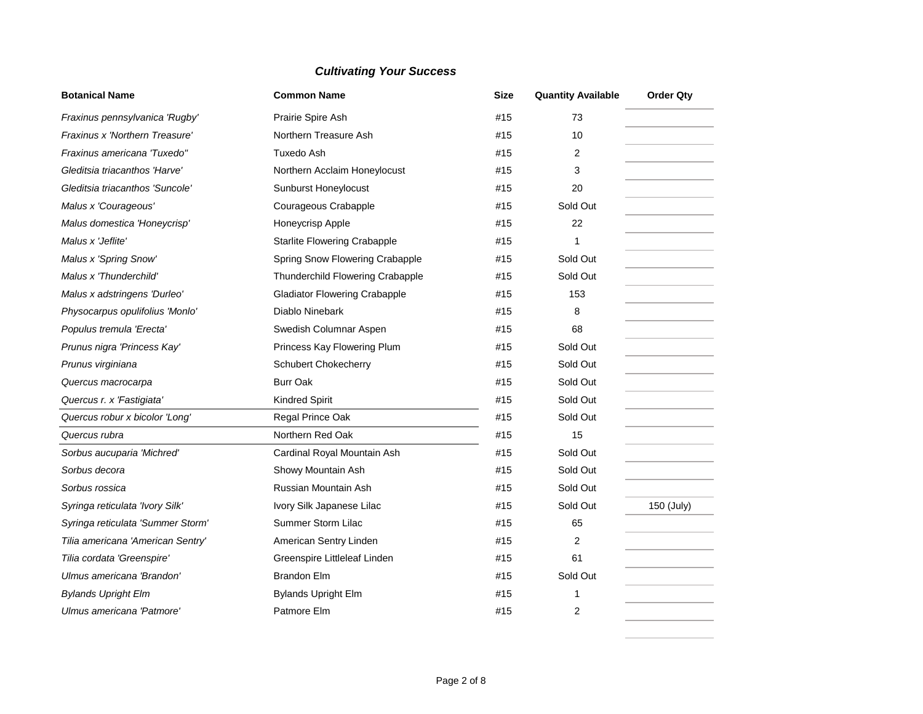| <b>Botanical Name</b>             | <b>Common Name</b>                   | <b>Size</b> | <b>Quantity Available</b> | <b>Order Qty</b> |
|-----------------------------------|--------------------------------------|-------------|---------------------------|------------------|
| Fraxinus pennsylvanica 'Rugby'    | Prairie Spire Ash                    | #15         | 73                        |                  |
| Fraxinus x 'Northern Treasure'    | Northern Treasure Ash                | #15         | 10                        |                  |
| Fraxinus americana 'Tuxedo"       | Tuxedo Ash                           | #15         | 2                         |                  |
| Gleditsia triacanthos 'Harve'     | Northern Acclaim Honeylocust         | #15         | 3                         |                  |
| Gleditsia triacanthos 'Suncole'   | Sunburst Honeylocust                 | #15         | 20                        |                  |
| Malus x 'Courageous'              | Courageous Crabapple                 | #15         | Sold Out                  |                  |
| Malus domestica 'Honeycrisp'      | Honeycrisp Apple                     | #15         | 22                        |                  |
| Malus x 'Jeflite'                 | <b>Starlite Flowering Crabapple</b>  | #15         | 1                         |                  |
| Malus x 'Spring Snow'             | Spring Snow Flowering Crabapple      | #15         | Sold Out                  |                  |
| Malus x 'Thunderchild'            | Thunderchild Flowering Crabapple     | #15         | Sold Out                  |                  |
| Malus x adstringens 'Durleo'      | <b>Gladiator Flowering Crabapple</b> | #15         | 153                       |                  |
| Physocarpus opulifolius 'Monlo'   | Diablo Ninebark                      | #15         | 8                         |                  |
| Populus tremula 'Erecta'          | Swedish Columnar Aspen               | #15         | 68                        |                  |
| Prunus nigra 'Princess Kay'       | Princess Kay Flowering Plum          | #15         | Sold Out                  |                  |
| Prunus virginiana                 | <b>Schubert Chokecherry</b>          | #15         | Sold Out                  |                  |
| Quercus macrocarpa                | <b>Burr Oak</b>                      | #15         | Sold Out                  |                  |
| Quercus r. x 'Fastigiata'         | <b>Kindred Spirit</b>                | #15         | Sold Out                  |                  |
| Quercus robur x bicolor 'Long'    | Regal Prince Oak                     | #15         | Sold Out                  |                  |
| Quercus rubra                     | Northern Red Oak                     | #15         | 15                        |                  |
| Sorbus aucuparia 'Michred'        | Cardinal Royal Mountain Ash          | #15         | Sold Out                  |                  |
| Sorbus decora                     | Showy Mountain Ash                   | #15         | Sold Out                  |                  |
| Sorbus rossica                    | Russian Mountain Ash                 | #15         | Sold Out                  |                  |
| Syringa reticulata 'Ivory Silk'   | Ivory Silk Japanese Lilac            | #15         | Sold Out                  | 150 (July)       |
| Syringa reticulata 'Summer Storm' | Summer Storm Lilac                   | #15         | 65                        |                  |
| Tilia americana 'American Sentry' | American Sentry Linden               | #15         | 2                         |                  |
| Tilia cordata 'Greenspire'        | Greenspire Littleleaf Linden         | #15         | 61                        |                  |
| Ulmus americana 'Brandon'         | <b>Brandon Elm</b>                   | #15         | Sold Out                  |                  |
| <b>Bylands Upright Elm</b>        | <b>Bylands Upright Elm</b>           | #15         | 1                         |                  |
| Ulmus americana 'Patmore'         | Patmore Elm                          | #15         | 2                         |                  |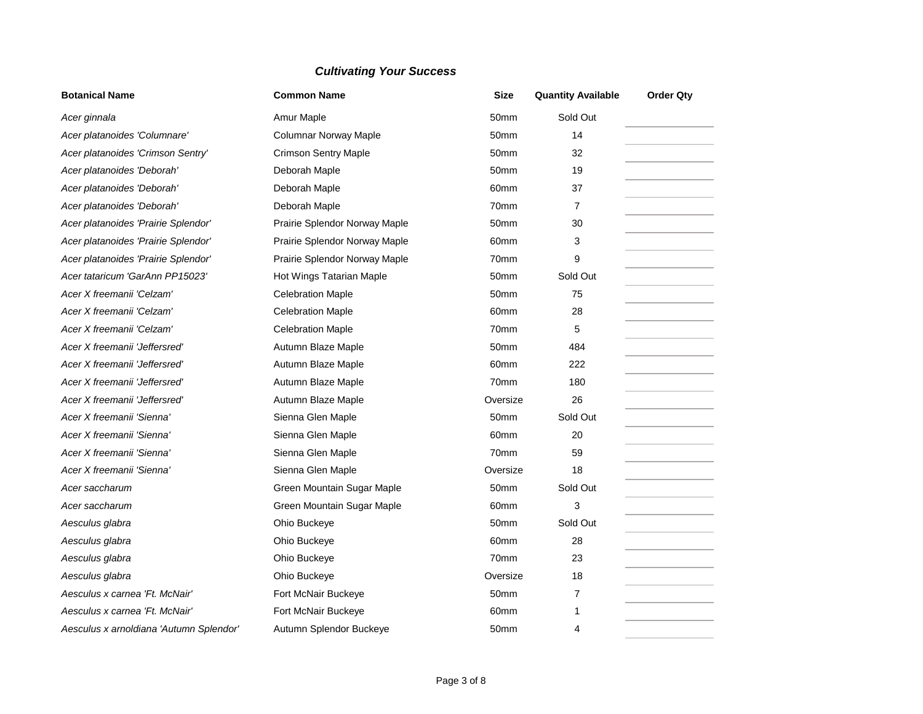| <b>Botanical Name</b>                   | <b>Common Name</b>            | <b>Size</b>      | <b>Quantity Available</b> | <b>Order Qty</b> |
|-----------------------------------------|-------------------------------|------------------|---------------------------|------------------|
| Acer ginnala                            | Amur Maple                    | 50mm             | Sold Out                  |                  |
| Acer platanoides 'Columnare'            | <b>Columnar Norway Maple</b>  | 50 <sub>mm</sub> | 14                        |                  |
| Acer platanoides 'Crimson Sentry'       | <b>Crimson Sentry Maple</b>   | 50mm             | 32                        |                  |
| Acer platanoides 'Deborah'              | Deborah Maple                 | 50 <sub>mm</sub> | 19                        |                  |
| Acer platanoides 'Deborah'              | Deborah Maple                 | 60 <sub>mm</sub> | 37                        |                  |
| Acer platanoides 'Deborah'              | Deborah Maple                 | 70mm             | $\overline{7}$            |                  |
| Acer platanoides 'Prairie Splendor'     | Prairie Splendor Norway Maple | 50 <sub>mm</sub> | 30                        |                  |
| Acer platanoides 'Prairie Splendor'     | Prairie Splendor Norway Maple | 60mm             | 3                         |                  |
| Acer platanoides 'Prairie Splendor'     | Prairie Splendor Norway Maple | 70mm             | 9                         |                  |
| Acer tataricum 'GarAnn PP15023'         | Hot Wings Tatarian Maple      | 50mm             | Sold Out                  |                  |
| Acer X freemanii 'Celzam'               | <b>Celebration Maple</b>      | 50 <sub>mm</sub> | 75                        |                  |
| Acer X freemanii 'Celzam'               | <b>Celebration Maple</b>      | 60mm             | 28                        |                  |
| Acer X freemanii 'Celzam'               | <b>Celebration Maple</b>      | 70mm             | 5                         |                  |
| Acer X freemanii 'Jeffersred'           | Autumn Blaze Maple            | 50 <sub>mm</sub> | 484                       |                  |
| Acer X freemanii 'Jeffersred'           | Autumn Blaze Maple            | 60mm             | 222                       |                  |
| Acer X freemanii 'Jeffersred'           | Autumn Blaze Maple            | 70mm             | 180                       |                  |
| Acer X freemanii 'Jeffersred'           | Autumn Blaze Maple            | Oversize         | 26                        |                  |
| Acer X freemanii 'Sienna'               | Sienna Glen Maple             | 50mm             | Sold Out                  |                  |
| Acer X freemanii 'Sienna'               | Sienna Glen Maple             | 60 <sub>mm</sub> | 20                        |                  |
| Acer X freemanii 'Sienna'               | Sienna Glen Maple             | 70mm             | 59                        |                  |
| Acer X freemanii 'Sienna'               | Sienna Glen Maple             | Oversize         | 18                        |                  |
| Acer saccharum                          | Green Mountain Sugar Maple    | 50 <sub>mm</sub> | Sold Out                  |                  |
| Acer saccharum                          | Green Mountain Sugar Maple    | 60mm             | 3                         |                  |
| Aesculus glabra                         | Ohio Buckeye                  | 50 <sub>mm</sub> | Sold Out                  |                  |
| Aesculus glabra                         | Ohio Buckeye                  | 60mm             | 28                        |                  |
| Aesculus glabra                         | Ohio Buckeye                  | 70mm             | 23                        |                  |
| Aesculus glabra                         | Ohio Buckeye                  | Oversize         | 18                        |                  |
| Aesculus x carnea 'Ft. McNair'          | Fort McNair Buckeye           | 50mm             | 7                         |                  |
| Aesculus x carnea 'Ft. McNair'          | Fort McNair Buckeye           | 60 <sub>mm</sub> | 1                         |                  |
| Aesculus x arnoldiana 'Autumn Splendor' | Autumn Splendor Buckeye       | 50 <sub>mm</sub> | $\overline{4}$            |                  |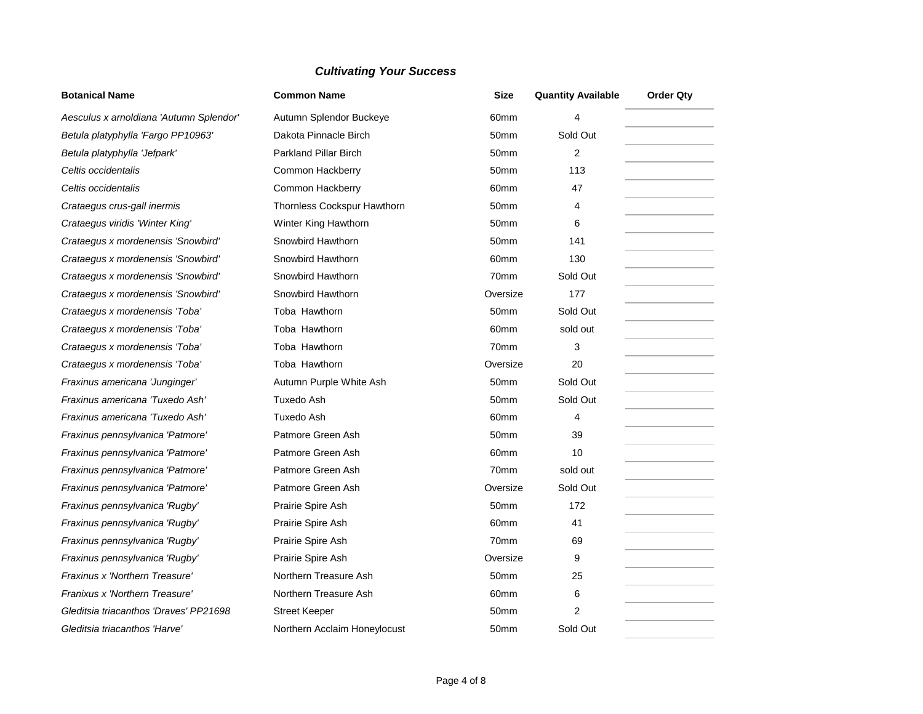| <b>Botanical Name</b>                   | <b>Common Name</b>           | <b>Size</b>      | <b>Quantity Available</b> | <b>Order Qty</b> |
|-----------------------------------------|------------------------------|------------------|---------------------------|------------------|
| Aesculus x arnoldiana 'Autumn Splendor' | Autumn Splendor Buckeye      | 60 <sub>mm</sub> | 4                         |                  |
| Betula platyphylla 'Fargo PP10963'      | Dakota Pinnacle Birch        | 50 <sub>mm</sub> | Sold Out                  |                  |
| Betula platyphylla 'Jefpark'            | <b>Parkland Pillar Birch</b> | 50 <sub>mm</sub> | 2                         |                  |
| Celtis occidentalis                     | Common Hackberry             | 50 <sub>mm</sub> | 113                       |                  |
| Celtis occidentalis                     | Common Hackberry             | 60 <sub>mm</sub> | 47                        |                  |
| Crataegus crus-gall inermis             | Thornless Cockspur Hawthorn  | 50mm             | 4                         |                  |
| Crataegus viridis 'Winter King'         | Winter King Hawthorn         | 50 <sub>mm</sub> | 6                         |                  |
| Crataegus x mordenensis 'Snowbird'      | Snowbird Hawthorn            | 50 <sub>mm</sub> | 141                       |                  |
| Crataegus x mordenensis 'Snowbird'      | Snowbird Hawthorn            | 60mm             | 130                       |                  |
| Crataegus x mordenensis 'Snowbird'      | Snowbird Hawthorn            | 70mm             | Sold Out                  |                  |
| Crataegus x mordenensis 'Snowbird'      | Snowbird Hawthorn            | Oversize         | 177                       |                  |
| Crataegus x mordenensis 'Toba'          | Toba Hawthorn                | 50 <sub>mm</sub> | Sold Out                  |                  |
| Crataegus x mordenensis 'Toba'          | Toba Hawthorn                | 60mm             | sold out                  |                  |
| Crataegus x mordenensis 'Toba'          | Toba Hawthorn                | 70mm             | 3                         |                  |
| Crataegus x mordenensis 'Toba'          | Toba Hawthorn                | Oversize         | 20                        |                  |
| Fraxinus americana 'Junginger'          | Autumn Purple White Ash      | 50 <sub>mm</sub> | Sold Out                  |                  |
| Fraxinus americana 'Tuxedo Ash'         | Tuxedo Ash                   | 50mm             | Sold Out                  |                  |
| Fraxinus americana 'Tuxedo Ash'         | Tuxedo Ash                   | 60 <sub>mm</sub> | $\overline{4}$            |                  |
| Fraxinus pennsylvanica 'Patmore'        | Patmore Green Ash            | 50 <sub>mm</sub> | 39                        |                  |
| Fraxinus pennsylvanica 'Patmore'        | Patmore Green Ash            | 60 <sub>mm</sub> | 10                        |                  |
| Fraxinus pennsylvanica 'Patmore'        | Patmore Green Ash            | 70mm             | sold out                  |                  |
| Fraxinus pennsylvanica 'Patmore'        | Patmore Green Ash            | Oversize         | Sold Out                  |                  |
| Fraxinus pennsylvanica 'Rugby'          | Prairie Spire Ash            | 50 <sub>mm</sub> | 172                       |                  |
| Fraxinus pennsylvanica 'Rugby'          | Prairie Spire Ash            | 60 <sub>mm</sub> | 41                        |                  |
| Fraxinus pennsylvanica 'Rugby'          | Prairie Spire Ash            | 70mm             | 69                        |                  |
| Fraxinus pennsylvanica 'Rugby'          | Prairie Spire Ash            | Oversize         | 9                         |                  |
| Fraxinus x 'Northern Treasure'          | Northern Treasure Ash        | 50 <sub>mm</sub> | 25                        |                  |
| Franixus x 'Northern Treasure'          | Northern Treasure Ash        | 60mm             | 6                         |                  |
| Gleditsia triacanthos 'Draves' PP21698  | <b>Street Keeper</b>         | 50mm             | 2                         |                  |
| Gleditsia triacanthos 'Harve'           | Northern Acclaim Honeylocust | 50mm             | Sold Out                  |                  |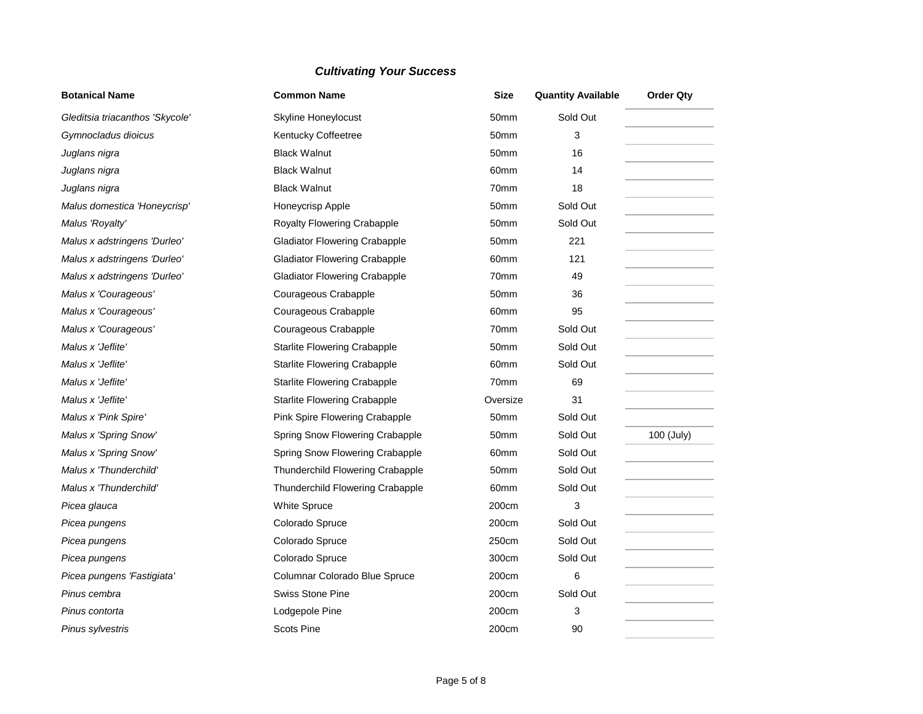| <b>Botanical Name</b>           | <b>Common Name</b>                   | <b>Size</b>      | <b>Quantity Available</b> | <b>Order Qty</b> |
|---------------------------------|--------------------------------------|------------------|---------------------------|------------------|
| Gleditsia triacanthos 'Skycole' | Skyline Honeylocust                  | 50mm             | Sold Out                  |                  |
| Gymnocladus dioicus             | Kentucky Coffeetree                  | 50mm             | 3                         |                  |
| Juglans nigra                   | <b>Black Walnut</b>                  | 50mm             | 16                        |                  |
| Juglans nigra                   | <b>Black Walnut</b>                  | 60 <sub>mm</sub> | 14                        |                  |
| Juglans nigra                   | <b>Black Walnut</b>                  | 70mm             | 18                        |                  |
| Malus domestica 'Honeycrisp'    | <b>Honeycrisp Apple</b>              | 50 <sub>mm</sub> | Sold Out                  |                  |
| Malus 'Royalty'                 | Royalty Flowering Crabapple          | 50mm             | Sold Out                  |                  |
| Malus x adstringens 'Durleo'    | <b>Gladiator Flowering Crabapple</b> | 50 <sub>mm</sub> | 221                       |                  |
| Malus x adstringens 'Durleo'    | <b>Gladiator Flowering Crabapple</b> | 60mm             | 121                       |                  |
| Malus x adstringens 'Durleo'    | <b>Gladiator Flowering Crabapple</b> | 70mm             | 49                        |                  |
| Malus x 'Courageous'            | Courageous Crabapple                 | 50 <sub>mm</sub> | 36                        |                  |
| Malus x 'Courageous'            | Courageous Crabapple                 | 60 <sub>mm</sub> | 95                        |                  |
| Malus x 'Courageous'            | Courageous Crabapple                 | 70mm             | Sold Out                  |                  |
| Malus x 'Jeflite'               | <b>Starlite Flowering Crabapple</b>  | 50mm             | Sold Out                  |                  |
| Malus x 'Jeflite'               | <b>Starlite Flowering Crabapple</b>  | 60 <sub>mm</sub> | Sold Out                  |                  |
| Malus x 'Jeflite'               | <b>Starlite Flowering Crabapple</b>  | 70mm             | 69                        |                  |
| Malus x 'Jeflite'               | <b>Starlite Flowering Crabapple</b>  | Oversize         | 31                        |                  |
| Malus x 'Pink Spire'            | Pink Spire Flowering Crabapple       | 50 <sub>mm</sub> | Sold Out                  |                  |
| Malus x 'Spring Snow'           | Spring Snow Flowering Crabapple      | 50mm             | Sold Out                  | 100 (July)       |
| Malus x 'Spring Snow'           | Spring Snow Flowering Crabapple      | 60mm             | Sold Out                  |                  |
| Malus x 'Thunderchild'          | Thunderchild Flowering Crabapple     | 50mm             | Sold Out                  |                  |
| Malus x 'Thunderchild'          | Thunderchild Flowering Crabapple     | 60 <sub>mm</sub> | Sold Out                  |                  |
| Picea glauca                    | <b>White Spruce</b>                  | 200cm            | 3                         |                  |
| Picea pungens                   | Colorado Spruce                      | 200cm            | Sold Out                  |                  |
| Picea pungens                   | Colorado Spruce                      | 250cm            | Sold Out                  |                  |
| Picea pungens                   | Colorado Spruce                      | 300cm            | Sold Out                  |                  |
| Picea pungens 'Fastigiata'      | Columnar Colorado Blue Spruce        | 200cm            | 6                         |                  |
| Pinus cembra                    | <b>Swiss Stone Pine</b>              | 200cm            | Sold Out                  |                  |
| Pinus contorta                  | Lodgepole Pine                       | 200cm            | 3                         |                  |
| Pinus sylvestris                | <b>Scots Pine</b>                    | 200cm            | 90                        |                  |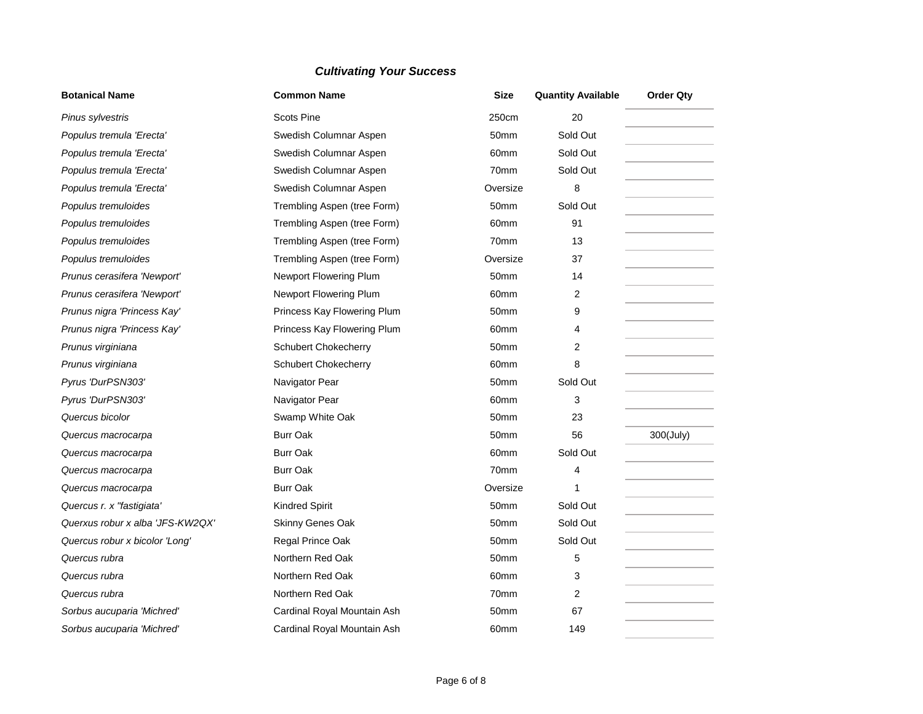| <b>Botanical Name</b>            | <b>Common Name</b>          | <b>Size</b>      | <b>Quantity Available</b> | <b>Order Qty</b> |
|----------------------------------|-----------------------------|------------------|---------------------------|------------------|
| Pinus sylvestris                 | <b>Scots Pine</b>           | 250cm            | 20                        |                  |
| Populus tremula 'Erecta'         | Swedish Columnar Aspen      | 50 <sub>mm</sub> | Sold Out                  |                  |
| Populus tremula 'Erecta'         | Swedish Columnar Aspen      | 60 <sub>mm</sub> | Sold Out                  |                  |
| Populus tremula 'Erecta'         | Swedish Columnar Aspen      | 70mm             | Sold Out                  |                  |
| Populus tremula 'Erecta'         | Swedish Columnar Aspen      | Oversize         | 8                         |                  |
| Populus tremuloides              | Trembling Aspen (tree Form) | 50mm             | Sold Out                  |                  |
| Populus tremuloides              | Trembling Aspen (tree Form) | 60mm             | 91                        |                  |
| Populus tremuloides              | Trembling Aspen (tree Form) | 70mm             | 13                        |                  |
| Populus tremuloides              | Trembling Aspen (tree Form) | Oversize         | 37                        |                  |
| Prunus cerasifera 'Newport'      | Newport Flowering Plum      | 50 <sub>mm</sub> | 14                        |                  |
| Prunus cerasifera 'Newport'      | Newport Flowering Plum      | 60mm             | 2                         |                  |
| Prunus nigra 'Princess Kay'      | Princess Kay Flowering Plum | 50mm             | 9                         |                  |
| Prunus nigra 'Princess Kay'      | Princess Kay Flowering Plum | 60 <sub>mm</sub> | 4                         |                  |
| Prunus virginiana                | <b>Schubert Chokecherry</b> | 50 <sub>mm</sub> | $\overline{2}$            |                  |
| Prunus virginiana                | Schubert Chokecherry        | 60 <sub>mm</sub> | 8                         |                  |
| Pyrus 'DurPSN303'                | Navigator Pear              | 50 <sub>mm</sub> | Sold Out                  |                  |
| Pyrus 'DurPSN303'                | Navigator Pear              | 60mm             | 3                         |                  |
| Quercus bicolor                  | Swamp White Oak             | 50 <sub>mm</sub> | 23                        |                  |
| Quercus macrocarpa               | <b>Burr Oak</b>             | 50mm             | 56                        | 300(July)        |
| Quercus macrocarpa               | <b>Burr Oak</b>             | 60mm             | Sold Out                  |                  |
| Quercus macrocarpa               | Burr Oak                    | 70mm             | 4                         |                  |
| Quercus macrocarpa               | <b>Burr Oak</b>             | Oversize         | 1                         |                  |
| Quercus r. x "fastigiata"        | <b>Kindred Spirit</b>       | 50mm             | Sold Out                  |                  |
| Querxus robur x alba 'JFS-KW2QX' | Skinny Genes Oak            | 50 <sub>mm</sub> | Sold Out                  |                  |
| Quercus robur x bicolor 'Long'   | Regal Prince Oak            | 50mm             | Sold Out                  |                  |
| Quercus rubra                    | Northern Red Oak            | 50mm             | 5                         |                  |
| Quercus rubra                    | Northern Red Oak            | 60 <sub>mm</sub> | 3                         |                  |
| Quercus rubra                    | Northern Red Oak            | 70mm             | 2                         |                  |
| Sorbus aucuparia 'Michred'       | Cardinal Royal Mountain Ash | 50mm             | 67                        |                  |
| Sorbus aucuparia 'Michred'       | Cardinal Royal Mountain Ash | 60 <sub>mm</sub> | 149                       |                  |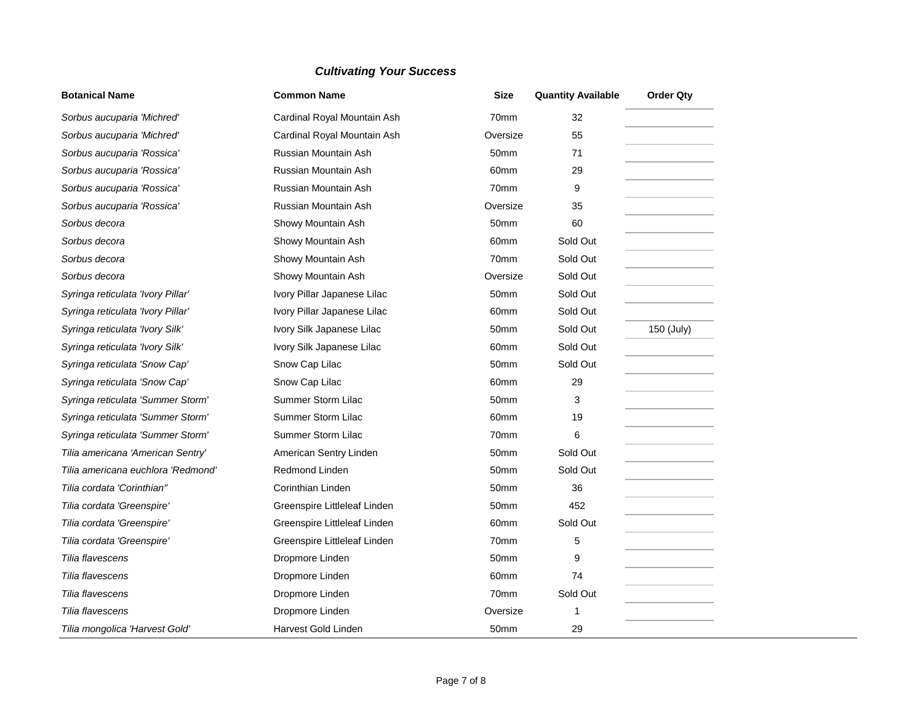| <b>Botanical Name</b>              | <b>Common Name</b>           | <b>Size</b>      | <b>Quantity Available</b> | <b>Order Qty</b> |
|------------------------------------|------------------------------|------------------|---------------------------|------------------|
| Sorbus aucuparia 'Michred'         | Cardinal Royal Mountain Ash  | 70mm             | 32                        |                  |
| Sorbus aucuparia 'Michred'         | Cardinal Royal Mountain Ash  | Oversize         | 55                        |                  |
| Sorbus aucuparia 'Rossica'         | Russian Mountain Ash         | 50mm             | 71                        |                  |
| Sorbus aucuparia 'Rossica'         | Russian Mountain Ash         | 60mm             | 29                        |                  |
| Sorbus aucuparia 'Rossica'         | Russian Mountain Ash         | 70mm             | 9                         |                  |
| Sorbus aucuparia 'Rossica'         | Russian Mountain Ash         | Oversize         | 35                        |                  |
| Sorbus decora                      | Showy Mountain Ash           | 50mm             | 60                        |                  |
| Sorbus decora                      | Showy Mountain Ash           | 60mm             | Sold Out                  |                  |
| Sorbus decora                      | Showy Mountain Ash           | 70mm             | Sold Out                  |                  |
| Sorbus decora                      | Showy Mountain Ash           | Oversize         | Sold Out                  |                  |
| Syringa reticulata 'Ivory Pillar'  | Ivory Pillar Japanese Lilac  | 50mm             | Sold Out                  |                  |
| Syringa reticulata 'Ivory Pillar'  | Ivory Pillar Japanese Lilac  | 60mm             | Sold Out                  |                  |
| Syringa reticulata 'Ivory Silk'    | Ivory Silk Japanese Lilac    | 50mm             | Sold Out                  | 150 (July)       |
| Syringa reticulata 'Ivory Silk'    | Ivory Silk Japanese Lilac    | 60mm             | Sold Out                  |                  |
| Syringa reticulata 'Snow Cap'      | Snow Cap Lilac               | 50 <sub>mm</sub> | Sold Out                  |                  |
| Syringa reticulata 'Snow Cap'      | Snow Cap Lilac               | 60mm             | 29                        |                  |
| Syringa reticulata 'Summer Storm'  | Summer Storm Lilac           | 50mm             | 3                         |                  |
| Syringa reticulata 'Summer Storm'  | Summer Storm Lilac           | 60mm             | 19                        |                  |
| Syringa reticulata 'Summer Storm'  | Summer Storm Lilac           | 70mm             | 6                         |                  |
| Tilia americana 'American Sentry'  | American Sentry Linden       | 50mm             | Sold Out                  |                  |
| Tilia americana euchlora 'Redmond' | <b>Redmond Linden</b>        | 50mm             | Sold Out                  |                  |
| Tilia cordata 'Corinthian"         | Corinthian Linden            | 50mm             | 36                        |                  |
| Tilia cordata 'Greenspire'         | Greenspire Littleleaf Linden | 50mm             | 452                       |                  |
| Tilia cordata 'Greenspire'         | Greenspire Littleleaf Linden | 60mm             | Sold Out                  |                  |
| Tilia cordata 'Greenspire'         | Greenspire Littleleaf Linden | 70mm             | 5                         |                  |
| Tilia flavescens                   | Dropmore Linden              | 50mm             | 9                         |                  |
| Tilia flavescens                   | Dropmore Linden              | 60mm             | 74                        |                  |
| Tilia flavescens                   | Dropmore Linden              | 70mm             | Sold Out                  |                  |
| Tilia flavescens                   | Dropmore Linden              | Oversize         | 1                         |                  |
| Tilia mongolica 'Harvest Gold'     | Harvest Gold Linden          | 50mm             | 29                        |                  |